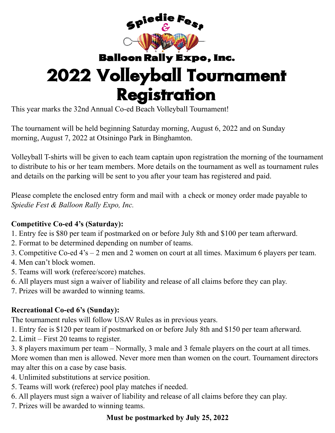

# **Balloon Rally Expo, Inc.** 2022 Volleyball Tournament **Registration**

This year marks the 32nd Annual Co-ed Beach Volleyball Tournament!

The tournament will be held beginning Saturday morning, August 6, 2022 and on Sunday morning, August 7, 2022 at Otsiningo Park in Binghamton.

Volleyball T-shirts will be given to each team captain upon registration the morning of the tournament to distribute to his or her team members. More details on the tournament as well as tournament rules and details on the parking will be sent to you after your team has registered and paid.

Please complete the enclosed entry form and mail with a check or money order made payable to *Spiedie Fest & Balloon Rally Expo, Inc.*

### **Competitive Co-ed 4's (Saturday):**

- 1. Entry fee is \$80 per team if postmarked on or before July 8th and \$100 per team afterward.
- 2. Format to be determined depending on number of teams.
- 3. Competitive Co-ed 4's 2 men and 2 women on court at all times. Maximum 6 players per team.
- 4. Men can't block women.
- 5. Teams will work (referee/score) matches.
- 6. All players must sign a waiver of liability and release of all claims before they can play.
- 7. Prizes will be awarded to winning teams.

### **Recreational Co-ed 6's (Sunday):**

The tournament rules will follow USAV Rules as in previous years.

- 1. Entry fee is \$120 per team if postmarked on or before July 8th and \$150 per team afterward.
- 2. Limit First 20 teams to register.

3. 8 players maximum per team – Normally, 3 male and 3 female players on the court at all times. More women than men is allowed. Never more men than women on the court. Tournament directors may alter this on a case by case basis.

- 4. Unlimited substitutions at service position.
- 5. Teams will work (referee) pool play matches if needed.
- 6. All players must sign a waiver of liability and release of all claims before they can play.
- 7. Prizes will be awarded to winning teams.

## **Must be postmarked by July 25, 2022**